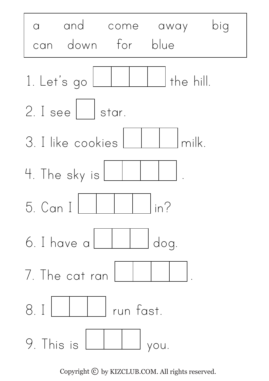

Copyright  $\odot$  by KIZCLUB.COM. All rights reserved.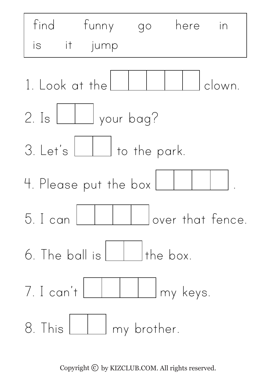

Copyright  $\odot$  by KIZCLUB.COM. All rights reserved.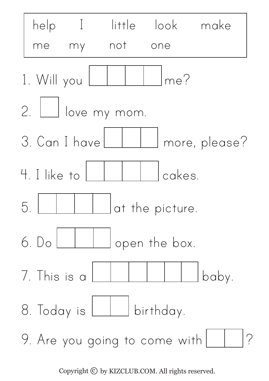

Copyright  $\odot$  by KIZCLUB.COM. All rights reserved.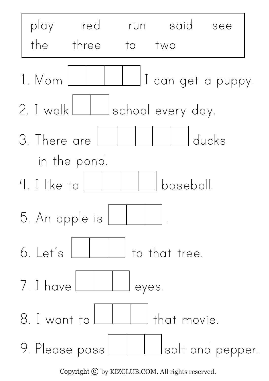

Copyright  $\odot$  by KIZCLUB.COM. All rights reserved.